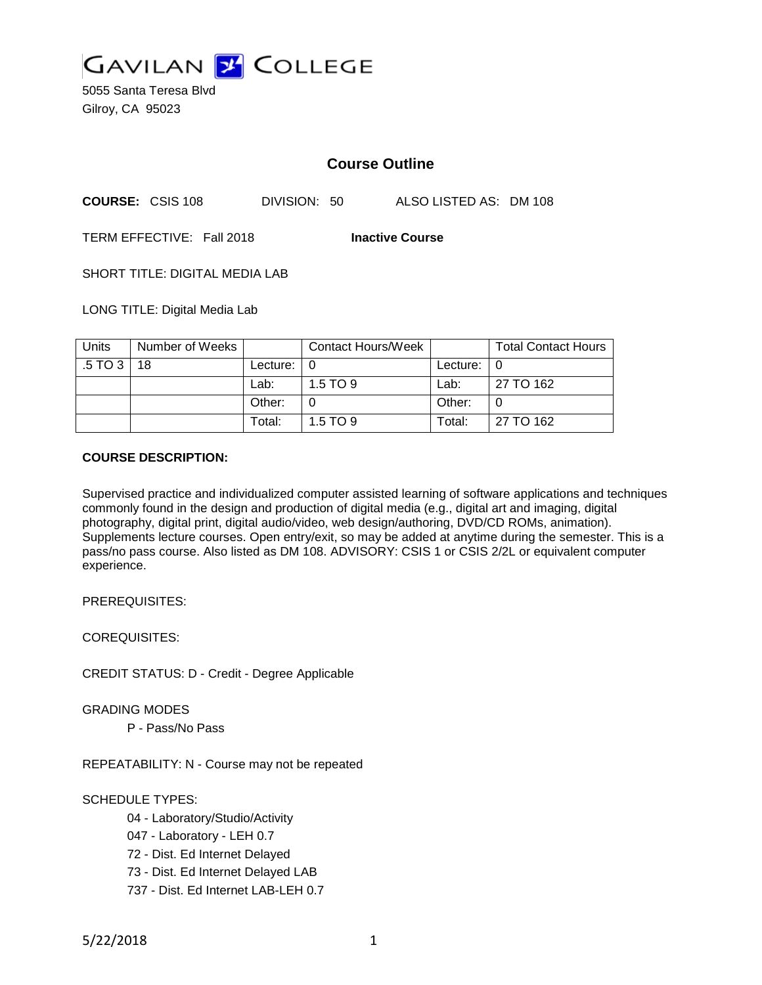

5055 Santa Teresa Blvd Gilroy, CA 95023

# **Course Outline**

**COURSE:** CSIS 108 DIVISION: 50 ALSO LISTED AS: DM 108

TERM EFFECTIVE: Fall 2018 **Inactive Course**

SHORT TITLE: DIGITAL MEDIA LAB

LONG TITLE: Digital Media Lab

| Units   | Number of Weeks |                            | <b>Contact Hours/Week</b> |          | <b>Total Contact Hours</b> |
|---------|-----------------|----------------------------|---------------------------|----------|----------------------------|
| .5 TO 3 | 18              | Lecture: $\vert 0 \rangle$ |                           | Lecture: |                            |
|         |                 | Lab:                       | $1.5$ TO 9                | Lab:     | 27 TO 162                  |
|         |                 | Other:                     |                           | Other:   |                            |
|         |                 | Total:                     | $1.5$ TO 9                | Total:   | 27 TO 162                  |

#### **COURSE DESCRIPTION:**

Supervised practice and individualized computer assisted learning of software applications and techniques commonly found in the design and production of digital media (e.g., digital art and imaging, digital photography, digital print, digital audio/video, web design/authoring, DVD/CD ROMs, animation). Supplements lecture courses. Open entry/exit, so may be added at anytime during the semester. This is a pass/no pass course. Also listed as DM 108. ADVISORY: CSIS 1 or CSIS 2/2L or equivalent computer experience.

PREREQUISITES:

COREQUISITES:

CREDIT STATUS: D - Credit - Degree Applicable

GRADING MODES

P - Pass/No Pass

REPEATABILITY: N - Course may not be repeated

## SCHEDULE TYPES:

- 04 Laboratory/Studio/Activity
- 047 Laboratory LEH 0.7
- 72 Dist. Ed Internet Delayed
- 73 Dist. Ed Internet Delayed LAB
- 737 Dist. Ed Internet LAB-LEH 0.7

5/22/2018 1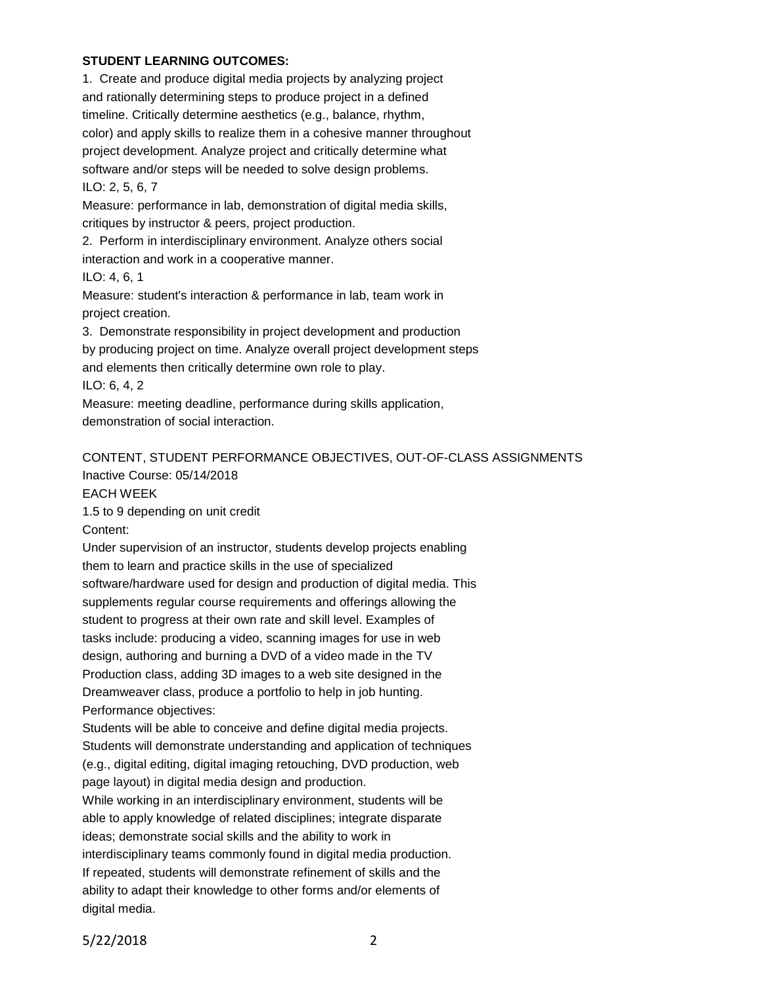## **STUDENT LEARNING OUTCOMES:**

1. Create and produce digital media projects by analyzing project and rationally determining steps to produce project in a defined timeline. Critically determine aesthetics (e.g., balance, rhythm, color) and apply skills to realize them in a cohesive manner throughout project development. Analyze project and critically determine what software and/or steps will be needed to solve design problems. ILO: 2, 5, 6, 7

Measure: performance in lab, demonstration of digital media skills, critiques by instructor & peers, project production.

2. Perform in interdisciplinary environment. Analyze others social

interaction and work in a cooperative manner.

ILO: 4, 6, 1

Measure: student's interaction & performance in lab, team work in project creation.

3. Demonstrate responsibility in project development and production by producing project on time. Analyze overall project development steps and elements then critically determine own role to play.

ILO: 6, 4, 2

Measure: meeting deadline, performance during skills application, demonstration of social interaction.

# CONTENT, STUDENT PERFORMANCE OBJECTIVES, OUT-OF-CLASS ASSIGNMENTS Inactive Course: 05/14/2018

EACH WEEK

1.5 to 9 depending on unit credit

Content:

Under supervision of an instructor, students develop projects enabling them to learn and practice skills in the use of specialized software/hardware used for design and production of digital media. This supplements regular course requirements and offerings allowing the student to progress at their own rate and skill level. Examples of tasks include: producing a video, scanning images for use in web design, authoring and burning a DVD of a video made in the TV Production class, adding 3D images to a web site designed in the Dreamweaver class, produce a portfolio to help in job hunting. Performance objectives:

Students will be able to conceive and define digital media projects. Students will demonstrate understanding and application of techniques (e.g., digital editing, digital imaging retouching, DVD production, web page layout) in digital media design and production.

While working in an interdisciplinary environment, students will be able to apply knowledge of related disciplines; integrate disparate ideas; demonstrate social skills and the ability to work in interdisciplinary teams commonly found in digital media production. If repeated, students will demonstrate refinement of skills and the ability to adapt their knowledge to other forms and/or elements of digital media.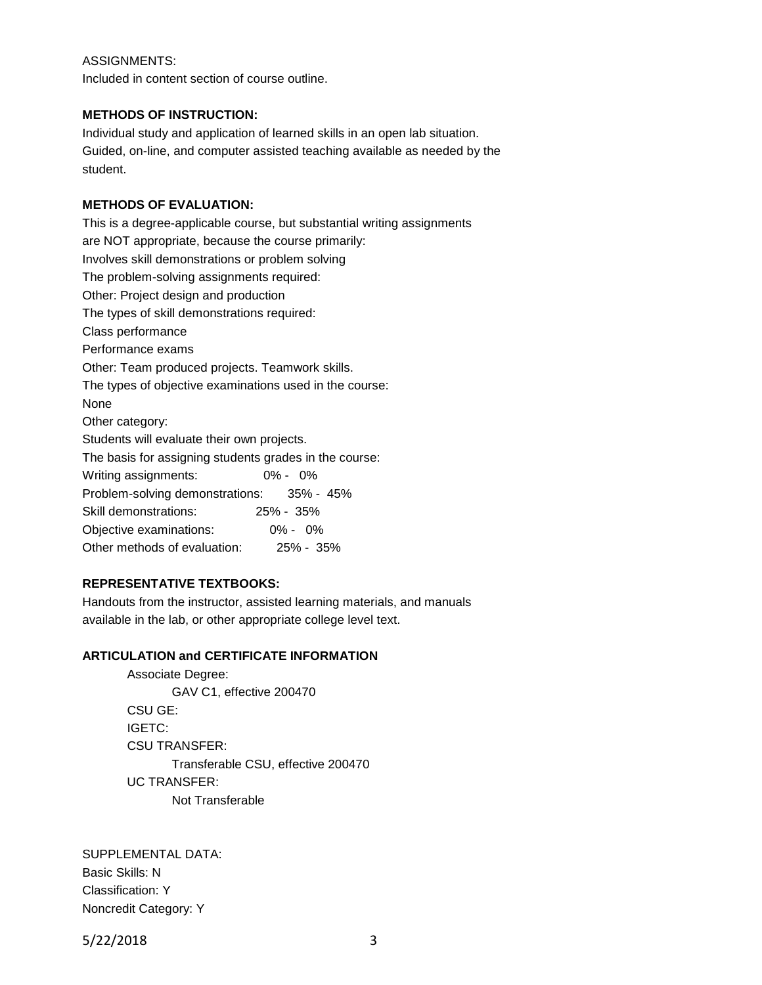#### ASSIGNMENTS:

Included in content section of course outline.

#### **METHODS OF INSTRUCTION:**

Individual study and application of learned skills in an open lab situation. Guided, on-line, and computer assisted teaching available as needed by the student.

#### **METHODS OF EVALUATION:**

This is a degree-applicable course, but substantial writing assignments are NOT appropriate, because the course primarily: Involves skill demonstrations or problem solving The problem-solving assignments required: Other: Project design and production The types of skill demonstrations required: Class performance Performance exams Other: Team produced projects. Teamwork skills. The types of objective examinations used in the course: None Other category: Students will evaluate their own projects. The basis for assigning students grades in the course: Writing assignments: 0% - 0% Problem-solving demonstrations: 35% - 45% Skill demonstrations: 25% - 35% Objective examinations: 0% - 0% Other methods of evaluation: 25% - 35%

#### **REPRESENTATIVE TEXTBOOKS:**

Handouts from the instructor, assisted learning materials, and manuals available in the lab, or other appropriate college level text.

## **ARTICULATION and CERTIFICATE INFORMATION**

Associate Degree: GAV C1, effective 200470 CSU GE: IGETC: CSU TRANSFER: Transferable CSU, effective 200470 UC TRANSFER: Not Transferable

SUPPLEMENTAL DATA: Basic Skills: N Classification: Y Noncredit Category: Y

5/22/2018 3